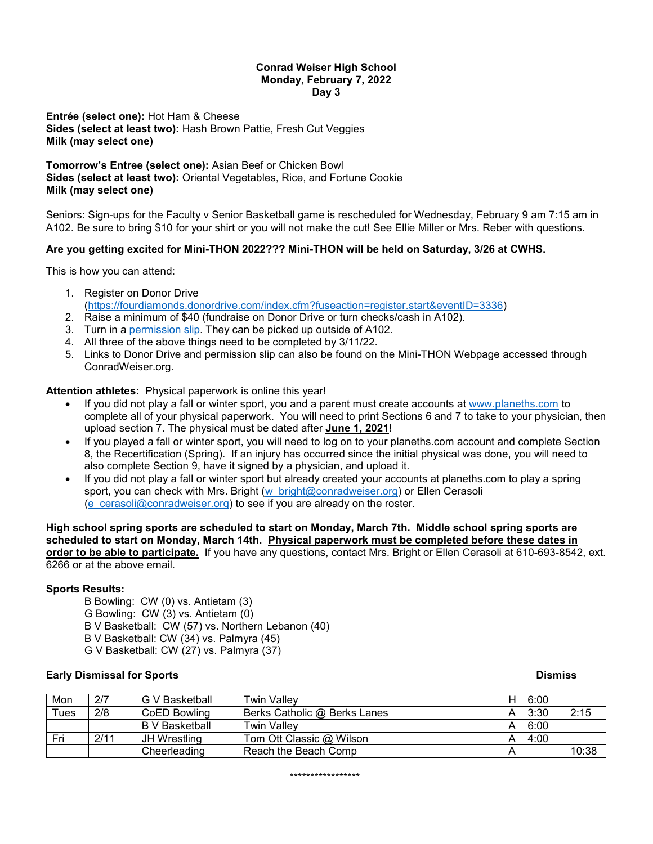## **Conrad Weiser High School Monday, February 7, 2022 Day 3**

**Entrée (select one):** Hot Ham & Cheese **Sides (select at least two):** Hash Brown Pattie, Fresh Cut Veggies **Milk (may select one)**

**Tomorrow's Entree (select one):** Asian Beef or Chicken Bowl **Sides (select at least two):** Oriental Vegetables, Rice, and Fortune Cookie **Milk (may select one)**

Seniors: Sign-ups for the Faculty v Senior Basketball game is rescheduled for Wednesday, February 9 am 7:15 am in A102. Be sure to bring \$10 for your shirt or you will not make the cut! See Ellie Miller or Mrs. Reber with questions.

# **Are you getting excited for Mini-THON 2022??? Mini-THON will be held on Saturday, 3/26 at CWHS.**

This is how you can attend:

- 1. Register on Donor Drive [\(https://fourdiamonds.donordrive.com/index.cfm?fuseaction=register.start&eventID=3336\)](https://fourdiamonds.donordrive.com/index.cfm?fuseaction=register.start&eventID=3336)
- 2. Raise a minimum of \$40 (fundraise on Donor Drive or turn checks/cash in A102).
- 3. Turn in a [permission slip.](https://drive.google.com/file/d/1xHzgIrq8-Xxa2nXN90S35JE_sgF5yyXR/view?usp=sharing) They can be picked up outside of A102.
- 4. All three of the above things need to be completed by 3/11/22.
- 5. Links to Donor Drive and permission slip can also be found on the Mini-THON Webpage accessed through ConradWeiser.org.

## **Attention athletes:** Physical paperwork is online this year!

- If you did not play a fall or winter sport, you and a parent must create accounts at [www.planeths.com](http://www.planeths.com/) to complete all of your physical paperwork. You will need to print Sections 6 and 7 to take to your physician, then upload section 7. The physical must be dated after **June 1, 2021**!
- If you played a fall or winter sport, you will need to log on to your planeths.com account and complete Section 8, the Recertification (Spring). If an injury has occurred since the initial physical was done, you will need to also complete Section 9, have it signed by a physician, and upload it.
- If you did not play a fall or winter sport but already created your accounts at planeths.com to play a spring sport, you can check with Mrs. Bright [\(w\\_bright@conradweiser.org\)](mailto:w_bright@conradweiser.org) or Ellen Cerasoli [\(e\\_cerasoli@conradweiser.org\)](mailto:e_cerasoli@conradweiser.org) to see if you are already on the roster.

**High school spring sports are scheduled to start on Monday, March 7th. Middle school spring sports are scheduled to start on Monday, March 14th. Physical paperwork must be completed before these dates in order to be able to participate.** If you have any questions, contact Mrs. Bright or Ellen Cerasoli at 610-693-8542, ext. 6266 or at the above email.

## **Sports Results:**

B Bowling: CW (0) vs. Antietam (3) G Bowling: CW (3) vs. Antietam (0) B V Basketball: CW (57) vs. Northern Lebanon (40) B V Basketball: CW (34) vs. Palmyra (45) G V Basketball: CW (27) vs. Palmyra (37)

## **Early Dismissal for Sports And American Service Service Service Service Service Service Service Service Service Service Service Service Service Service Service Service Service Service Service Service Service Service Servi**

| Mon     | 2/7  | G V Basketball | <b>Twin Valley</b>           | н | 6:00 |       |
|---------|------|----------------|------------------------------|---|------|-------|
| $T$ ues | 2/8  | CoED Bowling   | Berks Catholic @ Berks Lanes |   | 3:30 | 2:15  |
|         |      | B V Basketball | Twin Valley                  |   | 6:00 |       |
| Fri     | 2/11 | JH Wrestling   | Tom Ott Classic @ Wilson     |   | 4:00 |       |
|         |      | Cheerleading   | Reach the Beach Comp         | Α |      | 10:38 |

\*\*\*\*\*\*\*\*\*\*\*\*\*\*\*\*\*